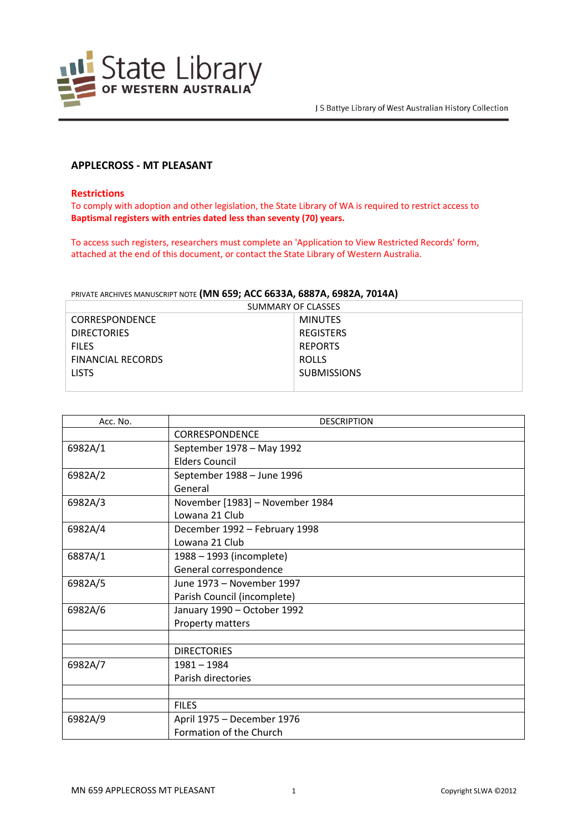

# **APPLECROSS - MT PLEASANT**

## **Restrictions**

To comply with adoption and other legislation, the State Library of WA is required to restrict access to **Baptismal registers with entries dated less than seventy (70) years.**

To access such registers, researchers must complete an 'Application to View Restricted Records' form, attached at the end of this document, or contact the State Library of Western Australia.

### PRIVATE ARCHIVES MANUSCRIPT NOTE **(MN 659; ACC 6633A, 6887A, 6982A, 7014A)**

| SUMMARY OF CLASSES       |                    |  |
|--------------------------|--------------------|--|
| <b>CORRESPONDENCE</b>    | <b>MINUTES</b>     |  |
| <b>DIRECTORIES</b>       | <b>REGISTERS</b>   |  |
| <b>FILES</b>             | <b>REPORTS</b>     |  |
| <b>FINANCIAL RECORDS</b> | <b>ROLLS</b>       |  |
| <b>LISTS</b>             | <b>SUBMISSIONS</b> |  |
|                          |                    |  |

| Acc. No. | <b>DESCRIPTION</b>              |
|----------|---------------------------------|
|          | <b>CORRESPONDENCE</b>           |
| 6982A/1  | September 1978 - May 1992       |
|          | <b>Elders Council</b>           |
| 6982A/2  | September 1988 - June 1996      |
|          | General                         |
| 6982A/3  | November [1983] - November 1984 |
|          | Lowana 21 Club                  |
| 6982A/4  | December 1992 - February 1998   |
|          | Lowana 21 Club                  |
| 6887A/1  | 1988 - 1993 (incomplete)        |
|          | General correspondence          |
| 6982A/5  | June 1973 - November 1997       |
|          | Parish Council (incomplete)     |
| 6982A/6  | January 1990 - October 1992     |
|          | Property matters                |
|          |                                 |
|          | <b>DIRECTORIES</b>              |
| 6982A/7  | $1981 - 1984$                   |
|          | Parish directories              |
|          |                                 |
|          | <b>FILES</b>                    |
| 6982A/9  | April 1975 - December 1976      |
|          | Formation of the Church         |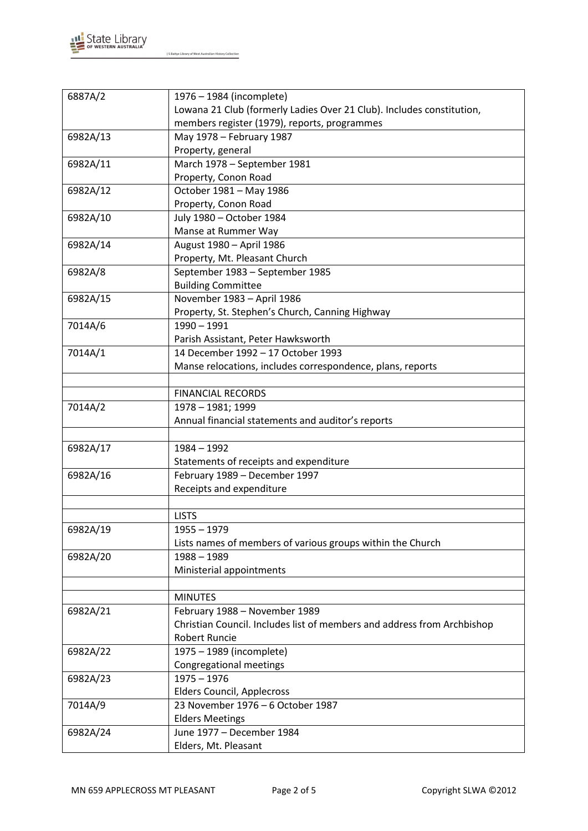

| 6887A/2  | 1976 - 1984 (incomplete)                                                |
|----------|-------------------------------------------------------------------------|
|          | Lowana 21 Club (formerly Ladies Over 21 Club). Includes constitution,   |
|          | members register (1979), reports, programmes                            |
| 6982A/13 | May 1978 - February 1987                                                |
|          | Property, general                                                       |
| 6982A/11 | March 1978 - September 1981                                             |
|          | Property, Conon Road                                                    |
| 6982A/12 | October 1981 - May 1986                                                 |
|          | Property, Conon Road                                                    |
| 6982A/10 | July 1980 - October 1984                                                |
|          | Manse at Rummer Way                                                     |
| 6982A/14 | August 1980 - April 1986                                                |
|          | Property, Mt. Pleasant Church                                           |
| 6982A/8  | September 1983 - September 1985                                         |
|          | <b>Building Committee</b>                                               |
| 6982A/15 | November 1983 - April 1986                                              |
|          | Property, St. Stephen's Church, Canning Highway                         |
| 7014A/6  | $1990 - 1991$                                                           |
|          | Parish Assistant, Peter Hawksworth                                      |
| 7014A/1  | 14 December 1992 - 17 October 1993                                      |
|          | Manse relocations, includes correspondence, plans, reports              |
|          |                                                                         |
|          | <b>FINANCIAL RECORDS</b>                                                |
| 7014A/2  | 1978 - 1981; 1999                                                       |
|          | Annual financial statements and auditor's reports                       |
|          |                                                                         |
| 6982A/17 | $1984 - 1992$                                                           |
|          | Statements of receipts and expenditure                                  |
| 6982A/16 | February 1989 - December 1997                                           |
|          | Receipts and expenditure                                                |
|          |                                                                         |
|          | <b>LISTS</b>                                                            |
| 6982A/19 | $1955 - 1979$                                                           |
|          | Lists names of members of various groups within the Church              |
| 6982A/20 | $1988 - 1989$                                                           |
|          | Ministerial appointments                                                |
|          |                                                                         |
|          | <b>MINUTES</b>                                                          |
| 6982A/21 | February 1988 - November 1989                                           |
|          | Christian Council. Includes list of members and address from Archbishop |
|          | <b>Robert Runcie</b>                                                    |
| 6982A/22 | 1975 - 1989 (incomplete)                                                |
|          | Congregational meetings                                                 |
| 6982A/23 | $1975 - 1976$                                                           |
|          | <b>Elders Council, Applecross</b>                                       |
| 7014A/9  | 23 November 1976 - 6 October 1987                                       |
|          | <b>Elders Meetings</b>                                                  |
| 6982A/24 | June 1977 - December 1984                                               |
|          | Elders, Mt. Pleasant                                                    |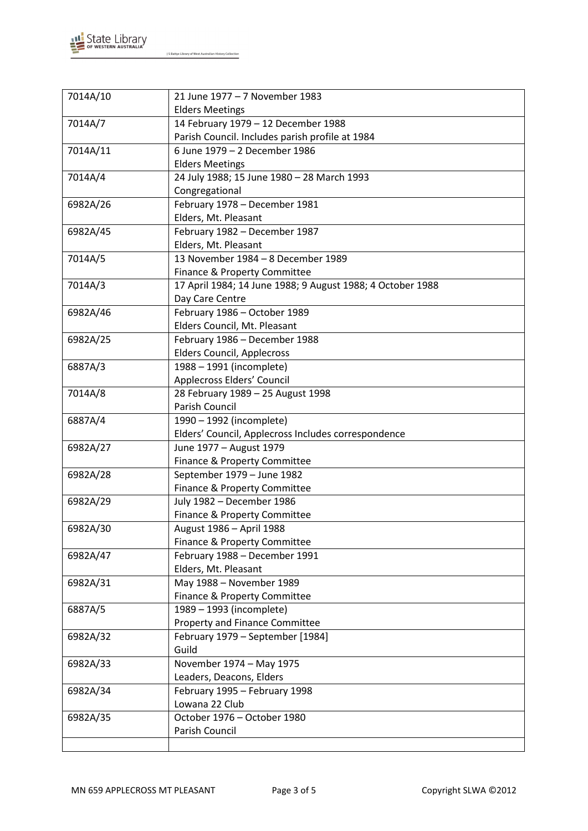

| 7014A/10 | 21 June 1977 - 7 November 1983                             |
|----------|------------------------------------------------------------|
|          | <b>Elders Meetings</b>                                     |
| 7014A/7  | 14 February 1979 - 12 December 1988                        |
|          | Parish Council. Includes parish profile at 1984            |
| 7014A/11 | 6 June 1979 - 2 December 1986                              |
|          | <b>Elders Meetings</b>                                     |
| 7014A/4  | 24 July 1988; 15 June 1980 - 28 March 1993                 |
|          | Congregational                                             |
| 6982A/26 | February 1978 - December 1981                              |
|          | Elders, Mt. Pleasant                                       |
| 6982A/45 | February 1982 - December 1987                              |
|          | Elders, Mt. Pleasant                                       |
| 7014A/5  | 13 November 1984 - 8 December 1989                         |
|          | Finance & Property Committee                               |
| 7014A/3  | 17 April 1984; 14 June 1988; 9 August 1988; 4 October 1988 |
|          | Day Care Centre                                            |
| 6982A/46 | February 1986 - October 1989                               |
|          | Elders Council, Mt. Pleasant                               |
| 6982A/25 | February 1986 - December 1988                              |
|          | <b>Elders Council, Applecross</b>                          |
| 6887A/3  | 1988 - 1991 (incomplete)                                   |
|          | Applecross Elders' Council                                 |
| 7014A/8  | 28 February 1989 - 25 August 1998                          |
|          | Parish Council                                             |
| 6887A/4  | 1990 - 1992 (incomplete)                                   |
|          | Elders' Council, Applecross Includes correspondence        |
| 6982A/27 | June 1977 - August 1979                                    |
|          | Finance & Property Committee                               |
| 6982A/28 | September 1979 - June 1982                                 |
|          | Finance & Property Committee                               |
| 6982A/29 | July 1982 - December 1986                                  |
|          | Finance & Property Committee                               |
| 6982A/30 | August 1986 - April 1988                                   |
|          | Finance & Property Committee                               |
| 6982A/47 | February 1988 - December 1991                              |
|          | Elders, Mt. Pleasant                                       |
| 6982A/31 | May 1988 - November 1989                                   |
|          | Finance & Property Committee                               |
| 6887A/5  | 1989 - 1993 (incomplete)                                   |
|          | Property and Finance Committee                             |
| 6982A/32 | February 1979 - September [1984]                           |
|          | Guild                                                      |
| 6982A/33 | November 1974 - May 1975                                   |
|          | Leaders, Deacons, Elders                                   |
| 6982A/34 | February 1995 - February 1998                              |
|          | Lowana 22 Club                                             |
| 6982A/35 | October 1976 - October 1980                                |
|          | Parish Council                                             |
|          |                                                            |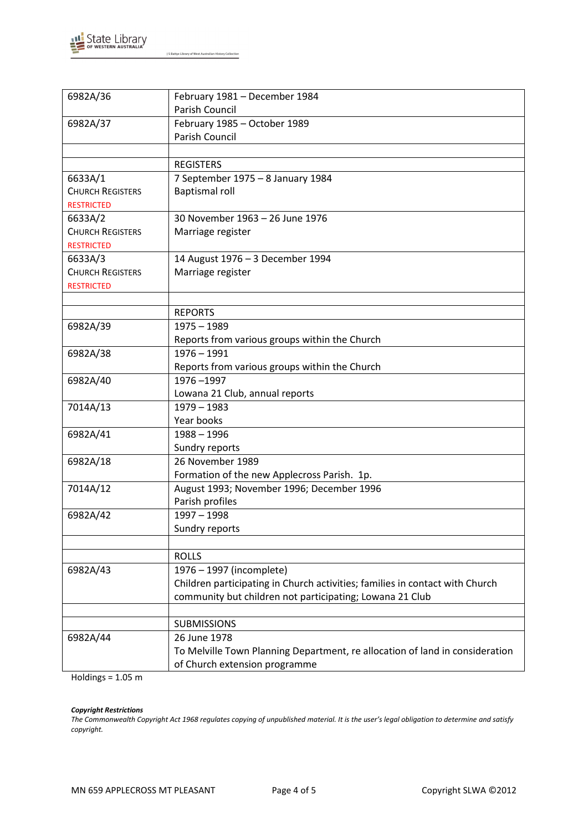

| 6982A/36                | February 1981 - December 1984                                                |
|-------------------------|------------------------------------------------------------------------------|
|                         | Parish Council                                                               |
| 6982A/37                | February 1985 - October 1989                                                 |
|                         | Parish Council                                                               |
|                         |                                                                              |
|                         | <b>REGISTERS</b>                                                             |
| 6633A/1                 | 7 September 1975 - 8 January 1984                                            |
| <b>CHURCH REGISTERS</b> | <b>Baptismal roll</b>                                                        |
| <b>RESTRICTED</b>       |                                                                              |
| 6633A/2                 | 30 November 1963 - 26 June 1976                                              |
| <b>CHURCH REGISTERS</b> | Marriage register                                                            |
| <b>RESTRICTED</b>       |                                                                              |
| 6633A/3                 | 14 August 1976 - 3 December 1994                                             |
| <b>CHURCH REGISTERS</b> | Marriage register                                                            |
| <b>RESTRICTED</b>       |                                                                              |
|                         |                                                                              |
|                         | <b>REPORTS</b>                                                               |
| 6982A/39                | $1975 - 1989$                                                                |
|                         | Reports from various groups within the Church                                |
| 6982A/38                | $1976 - 1991$                                                                |
|                         | Reports from various groups within the Church                                |
| 6982A/40                | 1976-1997                                                                    |
|                         | Lowana 21 Club, annual reports                                               |
| 7014A/13                | $1979 - 1983$                                                                |
|                         | Year books                                                                   |
| 6982A/41                | $1988 - 1996$                                                                |
|                         | Sundry reports                                                               |
| 6982A/18                | 26 November 1989                                                             |
|                         | Formation of the new Applecross Parish. 1p.                                  |
| 7014A/12                | August 1993; November 1996; December 1996                                    |
|                         | Parish profiles                                                              |
| 6982A/42                | $1997 - 1998$                                                                |
|                         | Sundry reports                                                               |
|                         |                                                                              |
|                         | <b>ROLLS</b>                                                                 |
| 6982A/43                | 1976 - 1997 (incomplete)                                                     |
|                         | Children participating in Church activities; families in contact with Church |
|                         | community but children not participating; Lowana 21 Club                     |
|                         |                                                                              |
|                         | <b>SUBMISSIONS</b>                                                           |
| 6982A/44                | 26 June 1978                                                                 |
|                         | To Melville Town Planning Department, re allocation of land in consideration |
|                         | of Church extension programme                                                |
|                         |                                                                              |

Holdings =  $1.05$  m

### *Copyright Restrictions*

*The Commonwealth Copyright Act 1968 regulates copying of unpublished material. It is the user's legal obligation to determine and satisfy copyright.*